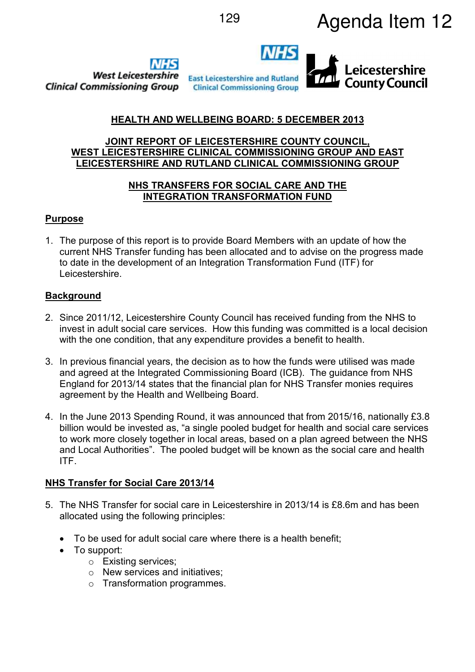





# **HEALTH AND WELLBEING BOARD: 5 DECEMBER 2013**

# **JOINT REPORT OF LEICESTERSHIRE COUNTY COUNCIL, WEST LEICESTERSHIRE CLINICAL COMMISSIONING GROUP AND EAST LEICESTERSHIRE AND RUTLAND CLINICAL COMMISSIONING GROUP**

### **NHS TRANSFERS FOR SOCIAL CARE AND THE INTEGRATION TRANSFORMATION FUND**

# **Purpose**

1. The purpose of this report is to provide Board Members with an update of how the current NHS Transfer funding has been allocated and to advise on the progress made to date in the development of an Integration Transformation Fund (ITF) for Leicestershire.

# **Background**

- 2. Since 2011/12, Leicestershire County Council has received funding from the NHS to invest in adult social care services. How this funding was committed is a local decision with the one condition, that any expenditure provides a benefit to health.
- 3. In previous financial years, the decision as to how the funds were utilised was made and agreed at the Integrated Commissioning Board (ICB). The guidance from NHS England for 2013/14 states that the financial plan for NHS Transfer monies requires agreement by the Health and Wellbeing Board.
- 4. In the June 2013 Spending Round, it was announced that from 2015/16, nationally £3.8 billion would be invested as, "a single pooled budget for health and social care services to work more closely together in local areas, based on a plan agreed between the NHS and Local Authorities". The pooled budget will be known as the social care and health ITF.

# **NHS Transfer for Social Care 2013/14**

- 5. The NHS Transfer for social care in Leicestershire in 2013/14 is £8.6m and has been allocated using the following principles:
	- To be used for adult social care where there is a health benefit;
	- To support:
		- o Existing services;
		- o New services and initiatives;
		- o Transformation programmes.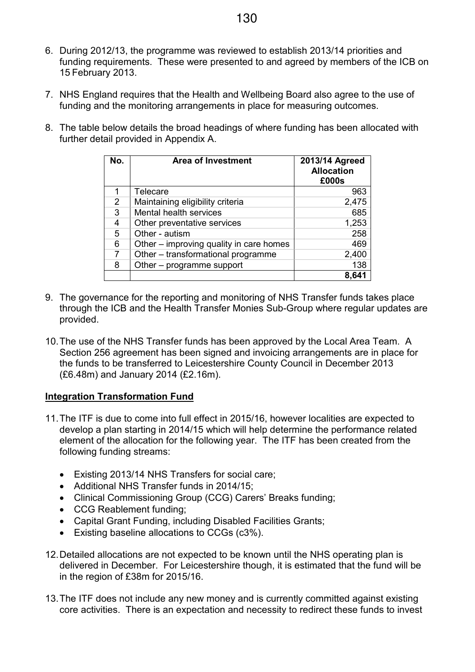- 6. During 2012/13, the programme was reviewed to establish 2013/14 priorities and funding requirements. These were presented to and agreed by members of the ICB on 15 February 2013.
- 7. NHS England requires that the Health and Wellbeing Board also agree to the use of funding and the monitoring arrangements in place for measuring outcomes.
- 8. The table below details the broad headings of where funding has been allocated with further detail provided in Appendix A.

| No. | <b>Area of Investment</b>               | 2013/14 Agreed<br><b>Allocation</b><br>£000s |
|-----|-----------------------------------------|----------------------------------------------|
| 1   | Telecare                                | 963                                          |
| 2   | Maintaining eligibility criteria        | 2,475                                        |
| 3   | Mental health services                  | 685                                          |
| 4   | Other preventative services             | 1,253                                        |
| 5   | Other - autism                          | 258                                          |
| 6   | Other - improving quality in care homes | 469                                          |
| 7   | Other - transformational programme      | 2,400                                        |
| 8   | Other – programme support               | 138                                          |
|     |                                         | 8,641                                        |

- 9. The governance for the reporting and monitoring of NHS Transfer funds takes place through the ICB and the Health Transfer Monies Sub-Group where regular updates are provided.
- 10. The use of the NHS Transfer funds has been approved by the Local Area Team. A Section 256 agreement has been signed and invoicing arrangements are in place for the funds to be transferred to Leicestershire County Council in December 2013 (£6.48m) and January 2014 (£2.16m).

# **Integration Transformation Fund**

- 11. The ITF is due to come into full effect in 2015/16, however localities are expected to develop a plan starting in 2014/15 which will help determine the performance related element of the allocation for the following year. The ITF has been created from the following funding streams:
	- Existing 2013/14 NHS Transfers for social care;
	- Additional NHS Transfer funds in 2014/15;
	- Clinical Commissioning Group (CCG) Carers' Breaks funding;
	- CCG Reablement funding;
	- Capital Grant Funding, including Disabled Facilities Grants;
	- Existing baseline allocations to CCGs (c3%).
- 12. Detailed allocations are not expected to be known until the NHS operating plan is delivered in December. For Leicestershire though, it is estimated that the fund will be in the region of £38m for 2015/16.
- 13. The ITF does not include any new money and is currently committed against existing core activities. There is an expectation and necessity to redirect these funds to invest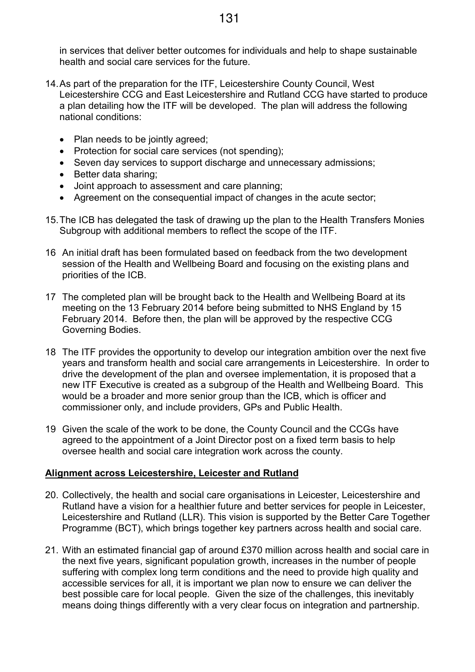in services that deliver better outcomes for individuals and help to shape sustainable health and social care services for the future.

- 14. As part of the preparation for the ITF, Leicestershire County Council, West Leicestershire CCG and East Leicestershire and Rutland CCG have started to produce a plan detailing how the ITF will be developed. The plan will address the following national conditions:
	- Plan needs to be jointly agreed;
	- Protection for social care services (not spending);
	- Seven day services to support discharge and unnecessary admissions:
	- Better data sharing;
	- Joint approach to assessment and care planning;
	- Agreement on the consequential impact of changes in the acute sector;
- 15. The ICB has delegated the task of drawing up the plan to the Health Transfers Monies Subgroup with additional members to reflect the scope of the ITF.
- 16 An initial draft has been formulated based on feedback from the two development session of the Health and Wellbeing Board and focusing on the existing plans and priorities of the ICB.
- 17 The completed plan will be brought back to the Health and Wellbeing Board at its meeting on the 13 February 2014 before being submitted to NHS England by 15 February 2014. Before then, the plan will be approved by the respective CCG Governing Bodies.
- 18 The ITF provides the opportunity to develop our integration ambition over the next five years and transform health and social care arrangements in Leicestershire. In order to drive the development of the plan and oversee implementation, it is proposed that a new ITF Executive is created as a subgroup of the Health and Wellbeing Board. This would be a broader and more senior group than the ICB, which is officer and commissioner only, and include providers, GPs and Public Health.
- 19 Given the scale of the work to be done, the County Council and the CCGs have agreed to the appointment of a Joint Director post on a fixed term basis to help oversee health and social care integration work across the county.

# **Alignment across Leicestershire, Leicester and Rutland**

- 20. Collectively, the health and social care organisations in Leicester, Leicestershire and Rutland have a vision for a healthier future and better services for people in Leicester, Leicestershire and Rutland (LLR). This vision is supported by the Better Care Together Programme (BCT), which brings together key partners across health and social care.
- 21. With an estimated financial gap of around £370 million across health and social care in the next five years, significant population growth, increases in the number of people suffering with complex long term conditions and the need to provide high quality and accessible services for all, it is important we plan now to ensure we can deliver the best possible care for local people. Given the size of the challenges, this inevitably means doing things differently with a very clear focus on integration and partnership.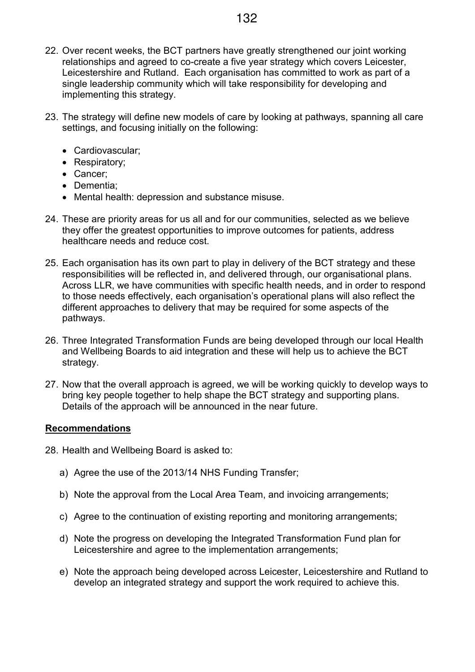- 22. Over recent weeks, the BCT partners have greatly strengthened our joint working relationships and agreed to co-create a five year strategy which covers Leicester, Leicestershire and Rutland. Each organisation has committed to work as part of a single leadership community which will take responsibility for developing and implementing this strategy.
- 23. The strategy will define new models of care by looking at pathways, spanning all care settings, and focusing initially on the following:
	- Cardiovascular;
	- Respiratory;
	- Cancer;
	- Dementia;
	- Mental health: depression and substance misuse.
- 24. These are priority areas for us all and for our communities, selected as we believe they offer the greatest opportunities to improve outcomes for patients, address healthcare needs and reduce cost.
- 25. Each organisation has its own part to play in delivery of the BCT strategy and these responsibilities will be reflected in, and delivered through, our organisational plans. Across LLR, we have communities with specific health needs, and in order to respond to those needs effectively, each organisation's operational plans will also reflect the different approaches to delivery that may be required for some aspects of the pathways.
- 26. Three Integrated Transformation Funds are being developed through our local Health and Wellbeing Boards to aid integration and these will help us to achieve the BCT strategy.
- 27. Now that the overall approach is agreed, we will be working quickly to develop ways to bring key people together to help shape the BCT strategy and supporting plans. Details of the approach will be announced in the near future.

# **Recommendations**

28. Health and Wellbeing Board is asked to:

- a) Agree the use of the 2013/14 NHS Funding Transfer;
- b) Note the approval from the Local Area Team, and invoicing arrangements;
- c) Agree to the continuation of existing reporting and monitoring arrangements;
- d) Note the progress on developing the Integrated Transformation Fund plan for Leicestershire and agree to the implementation arrangements;
- e) Note the approach being developed across Leicester, Leicestershire and Rutland to develop an integrated strategy and support the work required to achieve this.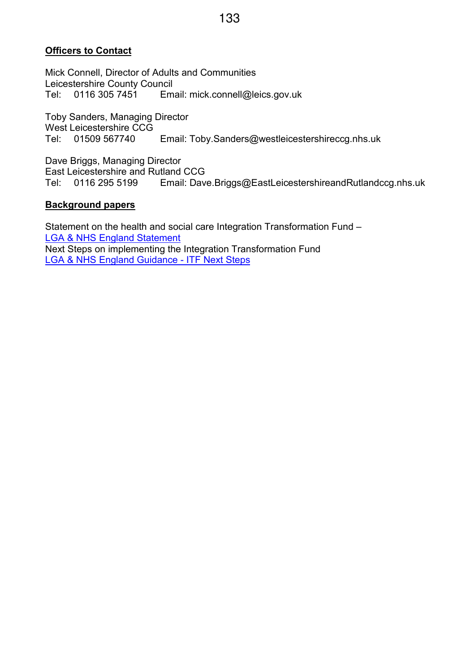# **Officers to Contact**

Mick Connell, Director of Adults and Communities Leicestershire County Council<br>Tel: 0116 305 7451 Em Tel: 0116 305 7451 Email: mick.connell@leics.gov.uk

Toby Sanders, Managing Director West Leicestershire CCG<br>Tel: 01509 567740 Email: Toby.Sanders@westleicestershireccg.nhs.uk

Dave Briggs, Managing Director East Leicestershire and Rutland CCG<br>Tel: 0116 295 5199 Email: Dave Tel: 0116 295 5199 Email: Dave.Briggs@EastLeicestershireandRutlandccg.nhs.uk

### **Background papers**

Statement on the health and social care Integration Transformation Fund – LGA & NHS England Statement Next Steps on implementing the Integration Transformation Fund LGA & NHS England Guidance - ITF Next Steps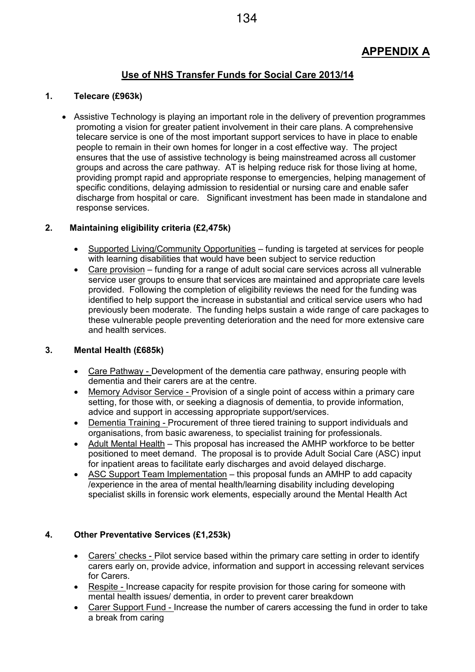# **APPENDIX A**

# **Use of NHS Transfer Funds for Social Care 2013/14**

### **1. Telecare (£963k)**

• Assistive Technology is playing an important role in the delivery of prevention programmes promoting a vision for greater patient involvement in their care plans. A comprehensive telecare service is one of the most important support services to have in place to enable people to remain in their own homes for longer in a cost effective way. The project ensures that the use of assistive technology is being mainstreamed across all customer groups and across the care pathway. AT is helping reduce risk for those living at home, providing prompt rapid and appropriate response to emergencies, helping management of specific conditions, delaying admission to residential or nursing care and enable safer discharge from hospital or care. Significant investment has been made in standalone and response services.

### **2. Maintaining eligibility criteria (£2,475k)**

- Supported Living/Community Opportunities funding is targeted at services for people with learning disabilities that would have been subject to service reduction
- Care provision funding for a range of adult social care services across all vulnerable service user groups to ensure that services are maintained and appropriate care levels provided. Following the completion of eligibility reviews the need for the funding was identified to help support the increase in substantial and critical service users who had previously been moderate. The funding helps sustain a wide range of care packages to these vulnerable people preventing deterioration and the need for more extensive care and health services.

### **3. Mental Health (£685k)**

- Care Pathway Development of the dementia care pathway, ensuring people with dementia and their carers are at the centre.
- Memory Advisor Service Provision of a single point of access within a primary care setting, for those with, or seeking a diagnosis of dementia, to provide information, advice and support in accessing appropriate support/services.
- Dementia Training Procurement of three tiered training to support individuals and organisations, from basic awareness, to specialist training for professionals.
- Adult Mental Health This proposal has increased the AMHP workforce to be better positioned to meet demand. The proposal is to provide Adult Social Care (ASC) input for inpatient areas to facilitate early discharges and avoid delayed discharge.
- ASC Support Team Implementation this proposal funds an AMHP to add capacity /experience in the area of mental health/learning disability including developing specialist skills in forensic work elements, especially around the Mental Health Act

### **4. Other Preventative Services (£1,253k)**

- Carers' checks Pilot service based within the primary care setting in order to identify carers early on, provide advice, information and support in accessing relevant services for Carers.
- Respite Increase capacity for respite provision for those caring for someone with mental health issues/ dementia, in order to prevent carer breakdown
- Carer Support Fund Increase the number of carers accessing the fund in order to take a break from caring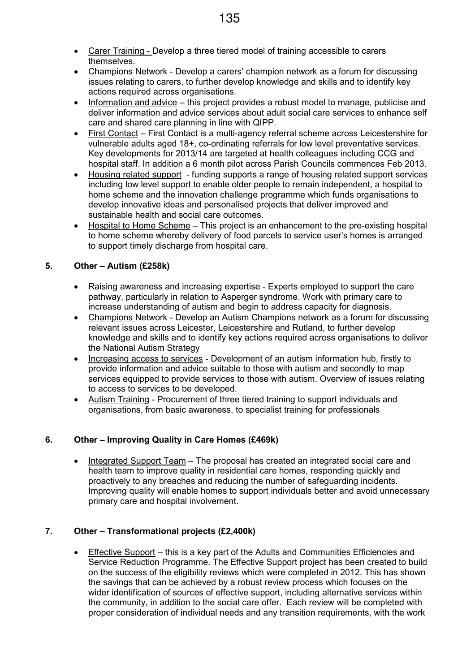- Carer Training Develop a three tiered model of training accessible to carers themselves.
- Champions Network Develop a carers' champion network as a forum for discussing issues relating to carers, to further develop knowledge and skills and to identify key actions required across organisations.
- Information and advice this project provides a robust model to manage, publicise and deliver information and advice services about adult social care services to enhance self care and shared care planning in line with QIPP.
- First Contact First Contact is a multi-agency referral scheme across Leicestershire for vulnerable adults aged 18+, co-ordinating referrals for low level preventative services. Key developments for 2013/14 are targeted at health colleagues including CCG and hospital staff. In addition a 6 month pilot across Parish Councils commences Feb 2013.
- Housing related support funding supports a range of housing related support services including low level support to enable older people to remain independent, a hospital to home scheme and the innovation challenge programme which funds organisations to develop innovative ideas and personalised projects that deliver improved and sustainable health and social care outcomes.
- Hospital to Home Scheme This project is an enhancement to the pre-existing hospital to home scheme whereby delivery of food parcels to service user's homes is arranged to support timely discharge from hospital care.

# **5. Other – Autism (£258k)**

- Raising awareness and increasing expertise Experts employed to support the care pathway, particularly in relation to Asperger syndrome. Work with primary care to increase understanding of autism and begin to address capacity for diagnosis.
- Champions Network Develop an Autism Champions network as a forum for discussing relevant issues across Leicester, Leicestershire and Rutland, to further develop knowledge and skills and to identify key actions required across organisations to deliver the National Autism Strategy
- Increasing access to services Development of an autism information hub, firstly to provide information and advice suitable to those with autism and secondly to map services equipped to provide services to those with autism. Overview of issues relating to access to services to be developed.
- Autism Training Procurement of three tiered training to support individuals and organisations, from basic awareness, to specialist training for professionals

# **6. Other – Improving Quality in Care Homes (£469k)**

• Integrated Support Team – The proposal has created an integrated social care and health team to improve quality in residential care homes, responding quickly and proactively to any breaches and reducing the number of safeguarding incidents. Improving quality will enable homes to support individuals better and avoid unnecessary primary care and hospital involvement.

# **7. Other – Transformational projects (£2,400k)**

• Effective Support – this is a key part of the Adults and Communities Efficiencies and Service Reduction Programme. The Effective Support project has been created to build on the success of the eligibility reviews which were completed in 2012. This has shown the savings that can be achieved by a robust review process which focuses on the wider identification of sources of effective support, including alternative services within the community, in addition to the social care offer. Each review will be completed with proper consideration of individual needs and any transition requirements, with the work